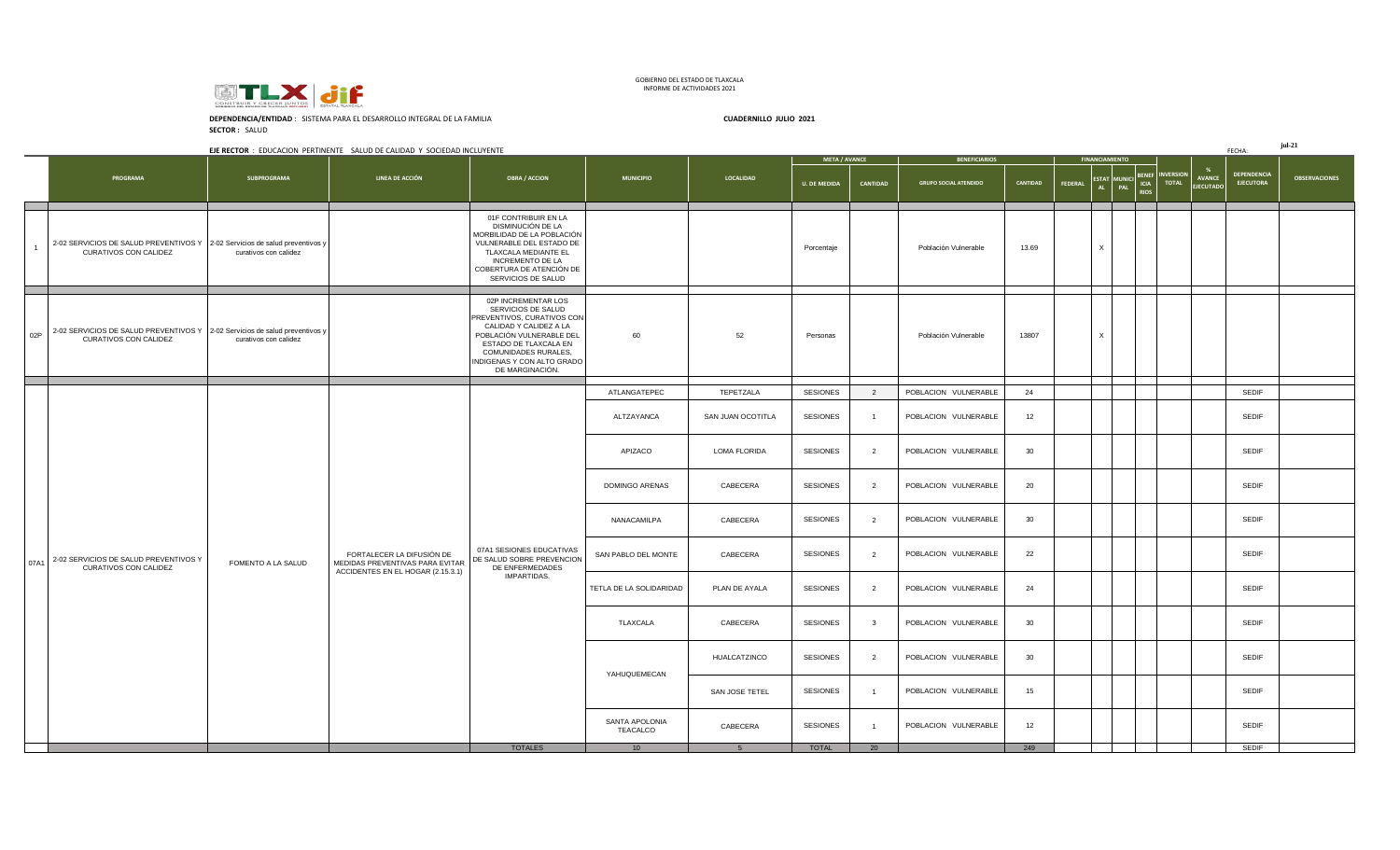

GOBIERNO DEL ESTADO DE TLAXCALA INFORME DE ACTIVIDADES 2021

**SECTOR :** SALUD **DEPENDENCIA/ENTIDAD** : SISTEMA PARA EL DESARROLLO INTEGRAL DE LA FAMILIA **CUADERNILLO JULIO 2021**

|      |                                                                                                      |                       | EJE RECTOR : EDUCACION PERTINENTE SALUD DE CALIDAD Y SOCIEDAD INCLUYENTE |                                                                                                                                                                                                                                 |                            |                   |                      |                         |                              |          |         |                       |  |                                                                   | FECHA:                                 | $jul-21$             |
|------|------------------------------------------------------------------------------------------------------|-----------------------|--------------------------------------------------------------------------|---------------------------------------------------------------------------------------------------------------------------------------------------------------------------------------------------------------------------------|----------------------------|-------------------|----------------------|-------------------------|------------------------------|----------|---------|-----------------------|--|-------------------------------------------------------------------|----------------------------------------|----------------------|
|      |                                                                                                      |                       |                                                                          |                                                                                                                                                                                                                                 |                            |                   | <b>META / AVANCE</b> |                         | <b>BENEFICIARIOS</b>         |          |         | <b>FINANCIAMIENTO</b> |  |                                                                   |                                        |                      |
|      | PROGRAMA                                                                                             | SUBPROGRAMA           | LINEA DE ACCIÓN                                                          | <b>OBRA / ACCION</b>                                                                                                                                                                                                            | <b>MUNICIPIO</b>           | <b>LOCALIDAD</b>  | <b>U. DE MEDIDA</b>  | CANTIDAD                | <b>GRUPO SOCIAL ATENDIDO</b> | CANTIDAD | FEDERAL |                       |  | ESTAT MUNICI BENEF INVERSION<br><b>AVANCE</b><br><b>EJECUTADO</b> | <b>DEPENDENCIA</b><br><b>EJECUTORA</b> | <b>OBSERVACIONES</b> |
|      | 2-02 SERVICIOS DE SALUD PREVENTIVOS Y 2-02 Servicios de salud preventivos y<br>CURATIVOS CON CALIDEZ | curativos con calidez |                                                                          | 01F CONTRIBUIR EN LA<br>DISMINUCIÓN DE LA<br>MORBILIDAD DE LA POBLACIÓN<br>VULNERABLE DEL ESTADO DE<br>TLAXCALA MEDIANTE EL<br><b>INCREMENTO DE LA</b><br>COBERTURA DE ATENCIÓN DE<br>SERVICIOS DE SALUD                        |                            |                   | Porcentaje           |                         | Población Vulnerable         | 13.69    |         | $\times$              |  |                                                                   |                                        |                      |
| 02P  | 2-02 SERVICIOS DE SALUD PREVENTIVOS Y 2-02 Servicios de salud preventivos y<br>CURATIVOS CON CALIDEZ | curativos con calidez |                                                                          | 02P INCREMENTAR LOS<br>SERVICIOS DE SALUD<br>PREVENTIVOS, CURATIVOS CON<br>CALIDAD Y CALIDEZ A LA<br>POBLACIÓN VULNERABLE DEL<br>ESTADO DE TLAXCALA EN<br>COMUNIDADES RURALES,<br>INDIGENAS Y CON ALTO GRADO<br>DE MARGINACIÓN. | 60                         | 52                | Personas             |                         | Población Vulnerable         | 13807    |         | $\mathsf{x}$          |  |                                                                   |                                        |                      |
|      |                                                                                                      |                       |                                                                          |                                                                                                                                                                                                                                 | ATLANGATEPEC               | TEPETZALA         | <b>SESIONES</b>      | $\overline{2}$          | POBLACION VULNERABLE         | 24       |         |                       |  |                                                                   | <b>SEDIF</b>                           |                      |
|      |                                                                                                      |                       |                                                                          |                                                                                                                                                                                                                                 | ALTZAYANCA                 | SAN JUAN OCOTITLA | <b>SESIONES</b>      | $\overline{1}$          | POBLACION VULNERABLE         | 12       |         |                       |  |                                                                   | <b>SEDIF</b>                           |                      |
|      |                                                                                                      |                       |                                                                          |                                                                                                                                                                                                                                 | APIZACO                    | LOMA FLORIDA      | <b>SESIONES</b>      | $\overline{2}$          | POBLACION VULNERABLE         | 30       |         |                       |  |                                                                   | SEDIF                                  |                      |
|      |                                                                                                      |                       |                                                                          |                                                                                                                                                                                                                                 | DOMINGO ARENAS             | CABECERA          | <b>SESIONES</b>      | $\overline{2}$          | POBLACION VULNERABLE         | 20       |         |                       |  |                                                                   | <b>SEDIF</b>                           |                      |
|      |                                                                                                      |                       |                                                                          |                                                                                                                                                                                                                                 | NANACAMILPA                | CABECERA          | SESIONES             | $\overline{2}$          | POBLACION VULNERABLE         | 30       |         |                       |  |                                                                   | <b>SEDIF</b>                           |                      |
| 07A1 | 2-02 SERVICIOS DE SALUD PREVENTIVOS Y<br><b>CURATIVOS CON CALIDEZ</b>                                | FOMENTO A LA SALUD    | FORTALECER LA DIFUSIÓN DE<br>MEDIDAS PREVENTIVAS PARA EVITAR             | 07A1 SESIONES EDUCATIVAS<br>DE SALUD SOBRE PREVENCION<br>DE ENFERMEDADES                                                                                                                                                        | SAN PABLO DEL MONTE        | CABECERA          | SESIONES             | $\overline{2}$          | POBLACION VULNERABLE         | 22       |         |                       |  |                                                                   | SEDIF                                  |                      |
|      |                                                                                                      |                       | ACCIDENTES EN EL HOGAR (2.15.3.1)                                        | IMPARTIDAS.                                                                                                                                                                                                                     | TETLA DE LA SOLIDARIDAD    | PLAN DE AYALA     | SESIONES             | $\overline{2}$          | POBLACION VULNERABLE         | 24       |         |                       |  |                                                                   | <b>SEDIF</b>                           |                      |
|      |                                                                                                      |                       |                                                                          |                                                                                                                                                                                                                                 | TLAXCALA                   | CABECERA          | <b>SESIONES</b>      | $\overline{\mathbf{3}}$ | POBLACION VULNERABLE         | 30       |         |                       |  |                                                                   | <b>SEDIF</b>                           |                      |
|      |                                                                                                      |                       |                                                                          |                                                                                                                                                                                                                                 | YAHUQUEMECAN               | HUALCATZINCO      | <b>SESIONES</b>      | $\overline{2}$          | POBLACION VULNERABLE         | 30       |         |                       |  |                                                                   | SEDIF                                  |                      |
|      |                                                                                                      |                       |                                                                          |                                                                                                                                                                                                                                 |                            | SAN JOSE TETEL    | SESIONES             | $\overline{1}$          | POBLACION VULNERABLE         | 15       |         |                       |  |                                                                   | SEDIF                                  |                      |
|      |                                                                                                      |                       |                                                                          |                                                                                                                                                                                                                                 | SANTA APOLONIA<br>TEACALCO | CABECERA          | <b>SESIONES</b>      | $\overline{1}$          | POBLACION VULNERABLE         | 12       |         |                       |  |                                                                   | <b>SEDIF</b>                           |                      |
|      |                                                                                                      |                       |                                                                          | <b>TOTALES</b>                                                                                                                                                                                                                  | 10                         | 5 <sup>5</sup>    | <b>TOTAL</b>         | 20                      |                              | 249      |         |                       |  |                                                                   | SEDIF                                  |                      |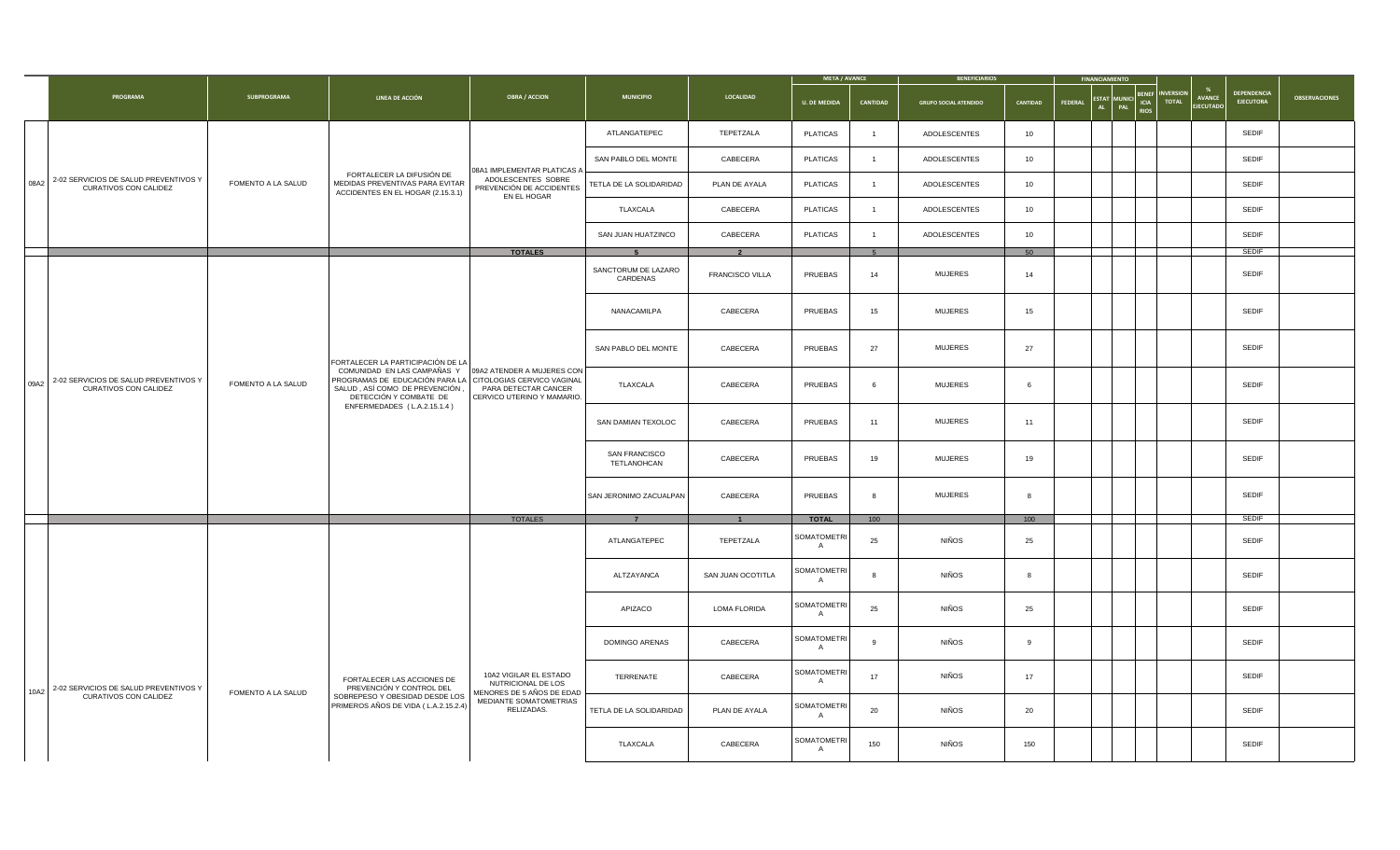|                                                                     |                    |                                                                                                                                                                                 |                                                                           |                                                                         |                        | <b>META / AVANCE</b>                               |                          | <b>BENEFICIARIOS</b>         |          |         |                                                                                                                                  |                                 |                      |
|---------------------------------------------------------------------|--------------------|---------------------------------------------------------------------------------------------------------------------------------------------------------------------------------|---------------------------------------------------------------------------|-------------------------------------------------------------------------|------------------------|----------------------------------------------------|--------------------------|------------------------------|----------|---------|----------------------------------------------------------------------------------------------------------------------------------|---------------------------------|----------------------|
| PROGRAMA                                                            | <b>SUBPROGRAMA</b> | LINEA DE ACCIÓN                                                                                                                                                                 | <b>OBRA / ACCION</b>                                                      | <b>MUNICIPIO</b>                                                        | <b>LOCALIDAD</b>       | <b>U. DE MEDIDA</b>                                | CANTIDAD                 | <b>GRUPO SOCIAL ATENDIDO</b> | CANTIDAD | FEDERAL | <b>INVERSION</b><br><b>BENEF</b><br><b>AVANCE</b><br>ESTAT MUNICI ICIA<br><b>TOTAL</b><br>PAL<br><b>EJECUTADO</b><br><b>RIOS</b> | DEPENDENCIA<br><b>EJECUTORA</b> | <b>OBSERVACIONES</b> |
|                                                                     |                    |                                                                                                                                                                                 |                                                                           | ATLANGATEPEC                                                            | TEPETZALA              | <b>PLATICAS</b>                                    | $\overline{1}$           | ADOLESCENTES                 | 10       |         |                                                                                                                                  | SEDIF                           |                      |
|                                                                     |                    |                                                                                                                                                                                 | 08A1 IMPLEMENTAR PLATICAS A                                               | SAN PABLO DEL MONTE                                                     | CABECERA               | <b>PLATICAS</b>                                    | $\overline{1}$           | <b>ADOLESCENTES</b>          | 10       |         |                                                                                                                                  | <b>SEDIF</b>                    |                      |
| 08A2 2-02 SERVICIOS DE SALUD PREVENTIVOS Y<br>CURATIVOS CON CALIDEZ | FOMENTO A LA SALUD | FORTALECER LA DIFUSIÓN DE<br>MEDIDAS PREVENTIVAS PARA EVITAR<br>ACCIDENTES EN EL HOGAR (2.15.3.1)                                                                               | ADOLESCENTES SOBRE<br>PREVENCIÓN DE ACCIDENTES<br>EN EL HOGAR             | TETLA DE LA SOLIDARIDAD                                                 | PLAN DE AYALA          | <b>PLATICAS</b>                                    | $\overline{1}$           | ADOLESCENTES                 | 10       |         |                                                                                                                                  | <b>SEDIF</b>                    |                      |
|                                                                     |                    |                                                                                                                                                                                 |                                                                           | TLAXCALA                                                                | CABECERA               | <b>PLATICAS</b>                                    | $\overline{1}$           | <b>ADOLESCENTES</b>          | 10       |         |                                                                                                                                  | <b>SEDIF</b>                    |                      |
|                                                                     |                    |                                                                                                                                                                                 |                                                                           | SAN JUAN HUATZINCO                                                      | CABECERA               | <b>PLATICAS</b>                                    | $\overline{1}$           | <b>ADOLESCENTES</b>          | 10       |         |                                                                                                                                  | <b>SEDIF</b>                    |                      |
|                                                                     |                    |                                                                                                                                                                                 | <b>TOTALES</b>                                                            | -5                                                                      | $\overline{2}$         |                                                    | 5                        |                              | 50       |         |                                                                                                                                  | <b>SEDIF</b>                    |                      |
|                                                                     |                    |                                                                                                                                                                                 |                                                                           | SANCTORUM DE LAZARO<br>CARDENAS                                         | <b>FRANCISCO VILLA</b> | PRUEBAS                                            | 14                       | <b>MUJERES</b>               | 14       |         |                                                                                                                                  | <b>SEDIF</b>                    |                      |
|                                                                     |                    |                                                                                                                                                                                 |                                                                           | NANACAMILPA                                                             | CABECERA               | PRUEBAS                                            | 15                       | <b>MUJERES</b>               | 15       |         |                                                                                                                                  | SEDIF                           |                      |
|                                                                     |                    | FORTALECER LA PARTICIPACIÓN DE LA                                                                                                                                               |                                                                           | SAN PABLO DEL MONTE                                                     | CABECERA               | PRUEBAS                                            | 27                       | <b>MUJERES</b>               | 27       |         |                                                                                                                                  | <b>SEDIF</b>                    |                      |
| 09A2 2-02 SERVICIOS DE SALUD PREVENTIVOS Y<br>CURATIVOS CON CALIDEZ | FOMENTO A LA SALUD | COMUNIDAD EN LAS CAMPAÑAS Y 09A2 ATENDER A MUJERES CON<br>PROGRAMAS DE EDUCACIÓN PARA LA CITOLOGIAS CERVICO VAGINAL<br>SALUD, ASÍ COMO DE PREVENCIÓN,<br>DETECCIÓN Y COMBATE DE | PARA DETECTAR CANCER<br>CERVICO UTERINO Y MAMARIO.                        | TLAXCALA                                                                | CABECERA               | PRUEBAS                                            | <b>MUJERES</b><br>6<br>6 |                              | SEDIF    |         |                                                                                                                                  |                                 |                      |
|                                                                     |                    | ENFERMEDADES (L.A.2.15.1.4)                                                                                                                                                     |                                                                           | SAN DAMIAN TEXOLOC<br>CABECERA<br>PRUEBAS<br><b>MUJERES</b><br>11<br>11 |                        | <b>SEDIF</b>                                       |                          |                              |          |         |                                                                                                                                  |                                 |                      |
|                                                                     |                    | SAN FRANCISCO<br>CABECERA<br>PRUEBAS<br>19<br><b>MUJERES</b><br>19<br>TETLANOHCAN                                                                                               |                                                                           | <b>SEDIF</b>                                                            |                        |                                                    |                          |                              |          |         |                                                                                                                                  |                                 |                      |
|                                                                     |                    |                                                                                                                                                                                 |                                                                           | SAN JERONIMO ZACUALPAN                                                  | CABECERA               | PRUEBAS                                            | -8                       | <b>MUJERES</b>               | 8        |         |                                                                                                                                  | <b>SEDIF</b>                    |                      |
|                                                                     |                    |                                                                                                                                                                                 | <b>TOTALES</b>                                                            | $\overline{7}$                                                          | $\overline{1}$         | <b>TOTAL</b>                                       | 100                      |                              | 100      |         |                                                                                                                                  | <b>SEDIF</b>                    |                      |
|                                                                     |                    |                                                                                                                                                                                 |                                                                           | ATLANGATEPEC                                                            | TEPETZALA              | <b>SOMATOMETRI</b><br>$\overline{A}$               | 25                       | <b>NIÑOS</b>                 | 25       |         |                                                                                                                                  | <b>SEDIF</b>                    |                      |
|                                                                     |                    |                                                                                                                                                                                 |                                                                           | ALTZAYANCA                                                              | SAN JUAN OCOTITLA      | <b>SOMATOMETRI</b><br><b>NIÑOS</b><br>8<br>-8<br>A |                          |                              |          |         |                                                                                                                                  |                                 |                      |
|                                                                     |                    |                                                                                                                                                                                 |                                                                           | APIZACO                                                                 | LOMA FLORIDA           | <b>SOMATOMETRI</b><br>A                            | 25                       | <b>NIÑOS</b>                 | 25       |         |                                                                                                                                  | <b>SEDIF</b>                    |                      |
|                                                                     |                    |                                                                                                                                                                                 |                                                                           | <b>DOMINGO ARENAS</b>                                                   | CABECERA               | SOMATOMETRI<br>$\overline{A}$                      | 9                        | <b>NIÑOS</b>                 | 9        |         |                                                                                                                                  | SEDIF                           |                      |
| 10A2 2-02 SERVICIOS DE SALUD PREVENTIVOS Y                          | FOMENTO A LA SALUD | FORTALECER LAS ACCIONES DE<br>PREVENCIÓN Y CONTROL DEL                                                                                                                          | 10A2 VIGILAR EL ESTADO<br>NUTRICIONAL DE LOS<br>MENORES DE 5 AÑOS DE EDAD | TERRENATE                                                               | CABECERA               | SOMATOMETRI<br>A                                   | 17                       | <b>NIÑOS</b>                 | 17       |         |                                                                                                                                  | SEDIF                           |                      |
| CURATIVOS CON CALIDEZ                                               |                    | SOBREPESO Y OBESIDAD DESDE LOS<br>PRIMEROS AÑOS DE VIDA (L.A.2.15.2.4)                                                                                                          | MEDIANTE SOMATOMETRIAS<br>RELIZADAS.                                      | TETLA DE LA SOLIDARIDAD                                                 | PLAN DE AYALA          | SOMATOMETRI<br>A                                   | 20                       | <b>NIÑOS</b>                 | 20       |         |                                                                                                                                  | <b>SEDIF</b>                    |                      |
|                                                                     |                    |                                                                                                                                                                                 |                                                                           | TLAXCALA                                                                | CABECERA               | <b>SOMATOMETRI</b><br>A                            | 150                      | <b>NIÑOS</b>                 | 150      |         |                                                                                                                                  | SEDIF                           |                      |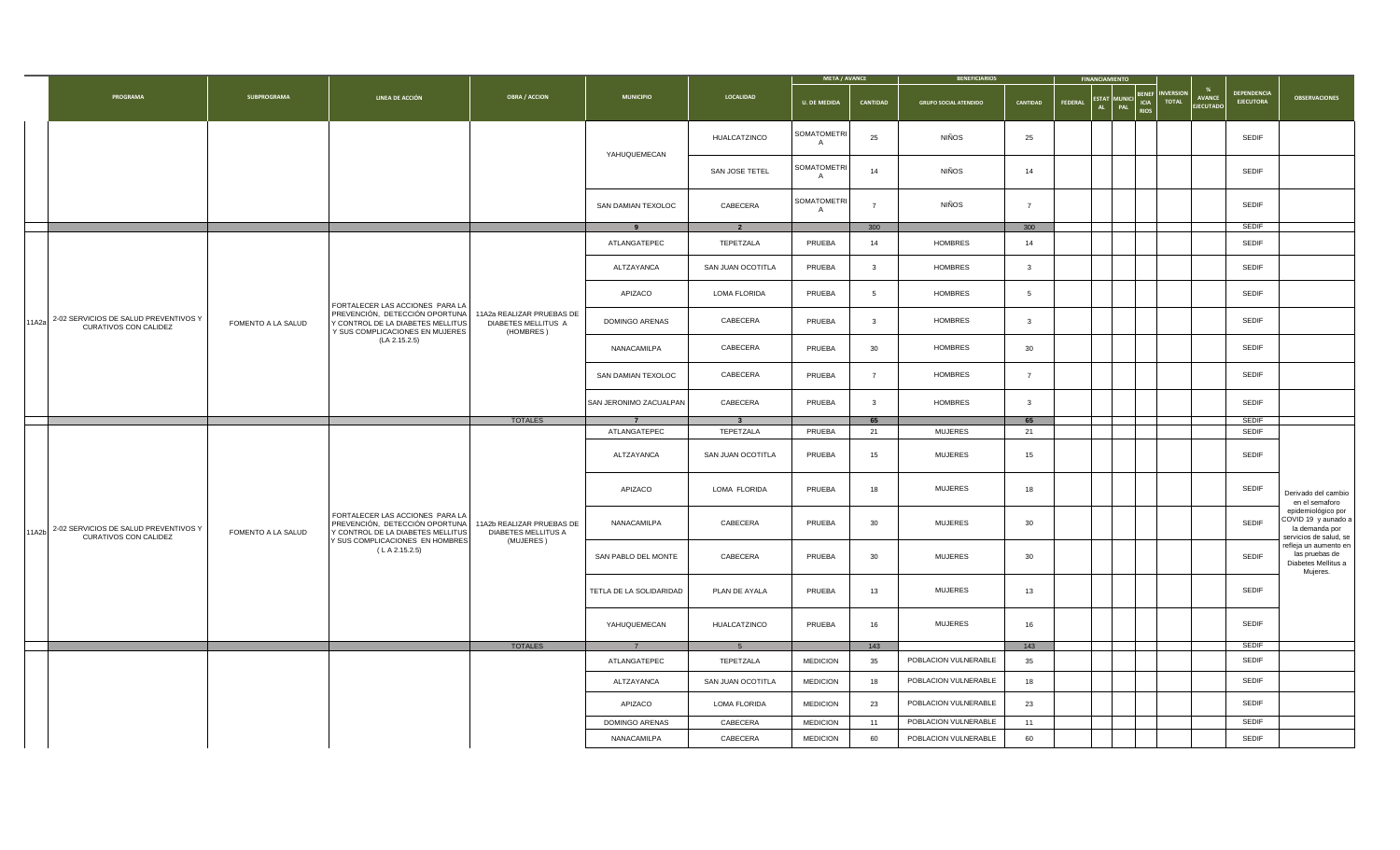| <b>DEPENDENCIA</b><br><b>BENEF</b><br><b>INVERSION</b><br>PROGRAMA<br><b>SUBPROGRAMA</b><br><b>OBRA / ACCION</b><br><b>MUNICIPIO</b><br>LOCALIDAD<br>LINEA DE ACCIÓN<br><b>AVANCE</b><br>ESTAT MUNICI ICIA TOTAL<br><b>EJECUTORA</b><br>CANTIDAD<br><b>U. DE MEDIDA</b><br>CANTIDAD<br><b>GRUPO SOCIAL ATENDIDO</b><br>FEDERAL<br><b>EJECUTADO</b><br><b>RIOS</b><br>SOMATOMETRI<br><b>NIÑOS</b><br>HUALCATZINCO<br>25<br>25<br>SEDIF<br>$\overline{A}$<br>YAHUQUEMECAN<br>SOMATOMETRI<br>NIÑOS<br>SEDIF<br>SAN JOSE TETEL<br>14<br>14<br>$\mathsf{A}$<br>SOMATOMETRI<br><b>NIÑOS</b><br>SAN DAMIAN TEXOLOC<br>CABECERA<br>$\overline{7}$<br>$\overline{7}$<br>SEDIF |
|----------------------------------------------------------------------------------------------------------------------------------------------------------------------------------------------------------------------------------------------------------------------------------------------------------------------------------------------------------------------------------------------------------------------------------------------------------------------------------------------------------------------------------------------------------------------------------------------------------------------------------------------------------------------|
|                                                                                                                                                                                                                                                                                                                                                                                                                                                                                                                                                                                                                                                                      |
|                                                                                                                                                                                                                                                                                                                                                                                                                                                                                                                                                                                                                                                                      |
|                                                                                                                                                                                                                                                                                                                                                                                                                                                                                                                                                                                                                                                                      |
| $\mathsf{A}$                                                                                                                                                                                                                                                                                                                                                                                                                                                                                                                                                                                                                                                         |
| <b>SEDIF</b><br>300<br>300<br>9<br>$\overline{2}$                                                                                                                                                                                                                                                                                                                                                                                                                                                                                                                                                                                                                    |
| ATLANGATEPEC<br>TEPETZALA<br>PRUEBA<br>14<br><b>HOMBRES</b><br>14<br><b>SEDIF</b>                                                                                                                                                                                                                                                                                                                                                                                                                                                                                                                                                                                    |
| SAN JUAN OCOTITLA<br>PRUEBA<br>SEDIF<br>ALTZAYANCA<br>HOMBRES<br>$\overline{\mathbf{3}}$<br>$\mathbf{3}$                                                                                                                                                                                                                                                                                                                                                                                                                                                                                                                                                             |
| LOMA FLORIDA<br>HOMBRES<br>SEDIF<br>APIZACO<br>PRUEBA<br>$5^{\circ}$<br>$5\overline{5}$<br>FORTALECER LAS ACCIONES PARA LA                                                                                                                                                                                                                                                                                                                                                                                                                                                                                                                                           |
| PREVENCIÓN, DETECCIÓN OPORTUNA<br>11A2a REALIZAR PRUEBAS DE<br>11A2a 2-02 SERVICIOS DE SALUD PREVENTIVOS Y<br>CABECERA<br>HOMBRES<br>SEDIF<br>DOMINGO ARENAS<br>PRUEBA<br>$\mathbf{3}$<br>$\overline{\mathbf{3}}$<br>FOMENTO A LA SALUD<br>Y CONTROL DE LA DIABETES MELLITUS<br>DIABETES MELLITUS A<br>CURATIVOS CON CALIDEZ<br>Y SUS COMPLICACIONES EN MUJERES<br>(HOMBRES)                                                                                                                                                                                                                                                                                         |
|                                                                                                                                                                                                                                                                                                                                                                                                                                                                                                                                                                                                                                                                      |
| (LA 2.15.2.5)<br>CABECERA<br>HOMBRES<br>SEDIF<br>NANACAMILPA<br>PRUEBA<br>30<br>30                                                                                                                                                                                                                                                                                                                                                                                                                                                                                                                                                                                   |
| SEDIF<br>SAN DAMIAN TEXOLOC<br>CABECERA<br>PRUEBA<br>HOMBRES<br>$7\overline{ }$<br>$\overline{7}$                                                                                                                                                                                                                                                                                                                                                                                                                                                                                                                                                                    |
| SAN JERONIMO ZACUALPAN<br>CABECERA<br>SEDIF<br>PRUEBA<br><b>HOMBRES</b><br>$\mathbf{3}$<br>$\overline{\mathbf{3}}$                                                                                                                                                                                                                                                                                                                                                                                                                                                                                                                                                   |
| <b>TOTALES</b><br><b>SEDIF</b><br>65<br>$\overline{7}$<br>$\overline{\mathbf{3}}$<br>65                                                                                                                                                                                                                                                                                                                                                                                                                                                                                                                                                                              |
| ATLANGATEPEC<br>TEPETZALA<br>PRUEBA<br><b>MUJERES</b><br><b>SEDIF</b><br>21<br>21                                                                                                                                                                                                                                                                                                                                                                                                                                                                                                                                                                                    |
| SEDIF<br><b>MUJERES</b><br>ALTZAYANCA<br>SAN JUAN OCOTITLA<br>PRUEBA<br>15<br>15                                                                                                                                                                                                                                                                                                                                                                                                                                                                                                                                                                                     |
| MUJERES<br>SEDIF<br>APIZACO<br>LOMA FLORIDA<br>PRUEBA<br>18<br>18                                                                                                                                                                                                                                                                                                                                                                                                                                                                                                                                                                                                    |
| FORTALECER LAS ACCIONES PARA LA<br><b>MUJERES</b><br>SEDIF<br>NANACAMILPA<br>CABECERA<br>PREVENCIÓN, DETECCIÓN OPORTUNA<br>11A2b REALIZAR PRUEBAS DE<br>PRUEBA<br>30<br>30<br>11A2b 2-02 SERVICIOS DE SALUD PREVENTIVOS Y<br>FOMENTO A LA SALUD<br>Y CONTROL DE LA DIABETES MELLITUS<br>DIABETES MELLITUS A<br>CURATIVOS CON CALIDEZ                                                                                                                                                                                                                                                                                                                                 |
| Y SUS COMPLICACIONES EN HOMBRES<br>(MUJERES)<br>(LA 2.15.2.5)<br><b>MUJERES</b><br>SEDIF<br>30<br>30<br>SAN PABLO DEL MONTE<br>CABECERA<br>PRUEBA                                                                                                                                                                                                                                                                                                                                                                                                                                                                                                                    |
| <b>MUJERES</b><br>SEDIF<br>TETLA DE LA SOLIDARIDAD<br>PLAN DE AYALA<br>PRUEBA<br>13<br>13                                                                                                                                                                                                                                                                                                                                                                                                                                                                                                                                                                            |
| SEDIF<br><b>MUJERES</b><br>HUALCATZINCO<br>YAHUQUEMECAN<br>PRUEBA<br>16<br>16                                                                                                                                                                                                                                                                                                                                                                                                                                                                                                                                                                                        |
| <b>TOTALES</b><br><b>SEDIF</b><br>143<br>143<br>7<br>5 <sup>5</sup>                                                                                                                                                                                                                                                                                                                                                                                                                                                                                                                                                                                                  |
| ATLANGATEPEC<br>TEPETZALA<br><b>MEDICION</b><br>POBLACION VULNERABLE<br>SEDIF<br>35<br>35                                                                                                                                                                                                                                                                                                                                                                                                                                                                                                                                                                            |
| SEDIF<br>POBLACION VULNERABLE<br>ALTZAYANCA<br>SAN JUAN OCOTITLA<br><b>MEDICION</b><br>18<br>18                                                                                                                                                                                                                                                                                                                                                                                                                                                                                                                                                                      |
| SEDIF<br>POBLACION VULNERABLE<br>APIZACO<br>LOMA FLORIDA<br><b>MEDICION</b><br>23<br>23                                                                                                                                                                                                                                                                                                                                                                                                                                                                                                                                                                              |
| POBLACION VULNERABLE<br><b>SEDIF</b><br>DOMINGO ARENAS<br>CABECERA<br><b>MEDICION</b><br>11<br>11                                                                                                                                                                                                                                                                                                                                                                                                                                                                                                                                                                    |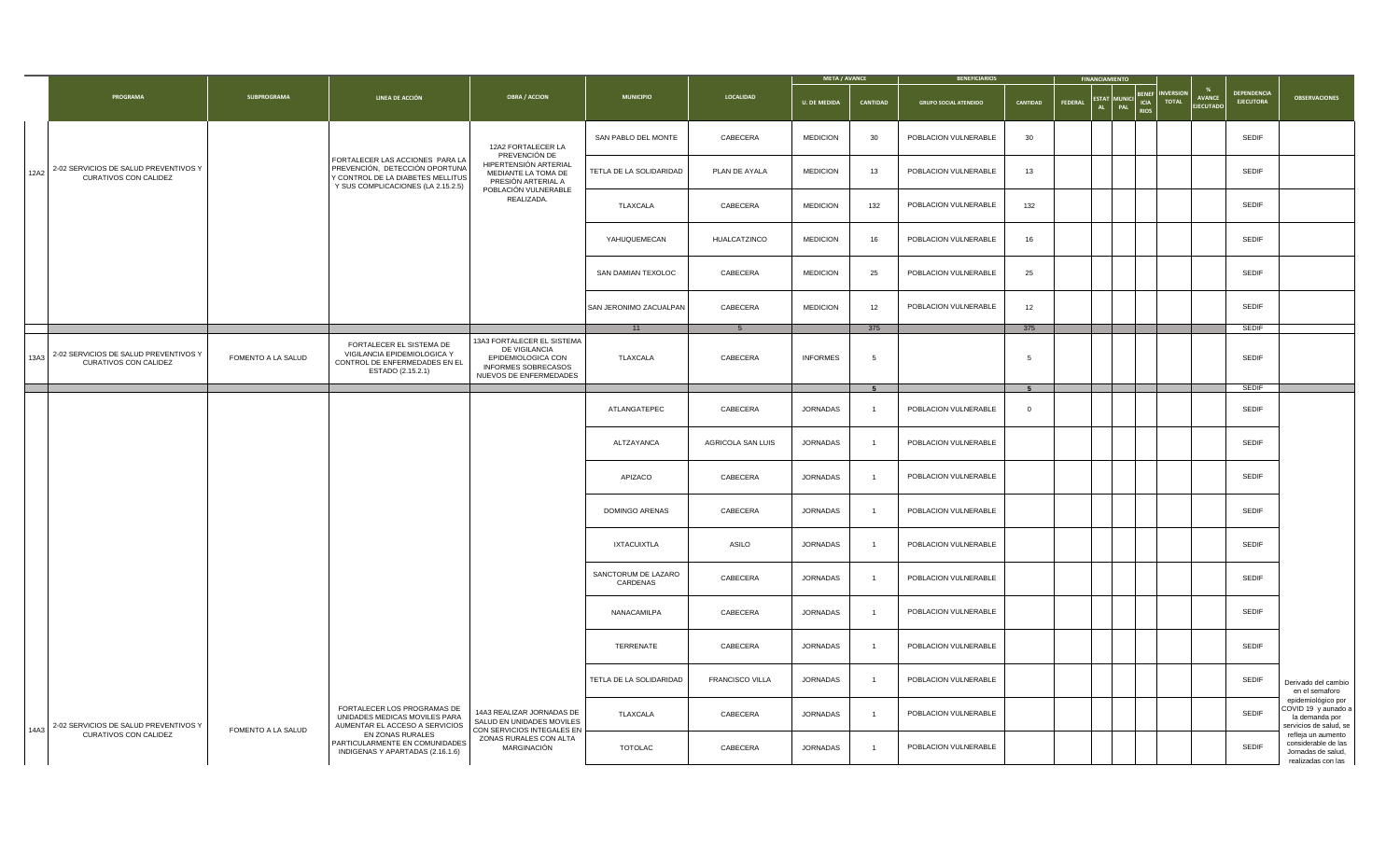|      |                                                                |                    |                                                                                                                                              |                                                                                                                    |                                 |                   | <b>META / AVANCE</b> |                 | <b>BENEFICIARIOS</b>         |                 |                | <b>FINANCIAMIENTO</b> |                                  |                                   |                                        |                                                                                       |
|------|----------------------------------------------------------------|--------------------|----------------------------------------------------------------------------------------------------------------------------------------------|--------------------------------------------------------------------------------------------------------------------|---------------------------------|-------------------|----------------------|-----------------|------------------------------|-----------------|----------------|-----------------------|----------------------------------|-----------------------------------|----------------------------------------|---------------------------------------------------------------------------------------|
|      | PROGRAMA                                                       | SUBPROGRAMA        | LINEA DE ACCIÓN                                                                                                                              | <b>OBRA / ACCION</b>                                                                                               | <b>MUNICIPIO</b>                | LOCALIDAD         | <b>U. DE MEDIDA</b>  | <b>CANTIDAD</b> | <b>GRUPO SOCIAL ATENDIDO</b> | CANTIDAD        | <b>FEDERAL</b> | ESTAT MUNICI CIA      | <b>INVERSION</b><br><b>TOTAL</b> | <b>AVANCE</b><br><b>EJECUTADO</b> | <b>DEPENDENCIA</b><br><b>EJECUTORA</b> | <b>OBSERVACIONES</b>                                                                  |
|      |                                                                |                    |                                                                                                                                              | 12A2 FORTALECER LA                                                                                                 | SAN PABLO DEL MONTE             | CABECERA          | <b>MEDICION</b>      | 30              | POBLACION VULNERABLE         | 30 <sup>°</sup> |                |                       |                                  |                                   | <b>SEDIF</b>                           |                                                                                       |
| 12A2 | 2-02 SERVICIOS DE SALUD PREVENTIVOS Y<br>CURATIVOS CON CALIDEZ |                    | FORTALECER LAS ACCIONES PARA LA<br>PREVENCIÓN, DETECCIÓN OPORTUNA<br>Y CONTROL DE LA DIABETES MELLITUS<br>Y SUS COMPLICACIONES (LA 2.15.2.5) | PREVENCIÓN DE<br>HIPERTENSIÓN ARTERIAL<br>MEDIANTE LA TOMA DE<br>PRESIÓN ARTERIAL A                                | TETLA DE LA SOLIDARIDAD         | PLAN DE AYALA     | <b>MEDICION</b>      | 13              | POBLACION VULNERABLE         | 13              |                |                       |                                  |                                   | SEDIF                                  |                                                                                       |
|      |                                                                |                    |                                                                                                                                              | POBLACIÓN VULNERABLE<br>REALIZADA.                                                                                 | TLAXCALA                        | CABECERA          | <b>MEDICION</b>      | 132             | POBLACION VULNERABLE         | 132             |                |                       |                                  |                                   | <b>SEDIF</b>                           |                                                                                       |
|      |                                                                |                    |                                                                                                                                              |                                                                                                                    | YAHUQUEMECAN                    | HUALCATZINCO      | <b>MEDICION</b>      | 16              | POBLACION VULNERABLE         | 16              |                |                       |                                  |                                   | <b>SEDIF</b>                           |                                                                                       |
|      |                                                                |                    |                                                                                                                                              |                                                                                                                    | SAN DAMIAN TEXOLOC              | CABECERA          | <b>MEDICION</b>      | 25              | POBLACION VULNERABLE         | 25              |                |                       |                                  |                                   | SEDIF                                  |                                                                                       |
|      |                                                                |                    |                                                                                                                                              |                                                                                                                    | SAN JERONIMO ZACUALPAN          | CABECERA          | <b>MEDICION</b>      | 12              | POBLACION VULNERABLE         | 12              |                |                       |                                  |                                   | <b>SEDIF</b>                           |                                                                                       |
|      |                                                                |                    |                                                                                                                                              |                                                                                                                    | 11                              |                   |                      | 375             |                              | 375             |                |                       |                                  |                                   | <b>SEDIF</b>                           |                                                                                       |
| 13A3 | 2-02 SERVICIOS DE SALUD PREVENTIVOS Y<br>CURATIVOS CON CALIDEZ | FOMENTO A LA SALUD | FORTALECER EL SISTEMA DE<br>VIGILANCIA EPIDEMIOLOGICA Y<br>CONTROL DE ENFERMEDADES EN EL<br>ESTADO (2.15.2.1)                                | 13A3 FORTALECER EL SISTEMA<br>DE VIGILANCIA<br>EPIDEMIOLOGICA CON<br>INFORMES SOBRECASOS<br>NUEVOS DE ENFERMEDADES | TLAXCALA                        | CABECERA          | <b>INFORMES</b>      | -5              |                              | 5               |                |                       |                                  |                                   | <b>SEDIF</b>                           |                                                                                       |
|      |                                                                |                    |                                                                                                                                              |                                                                                                                    |                                 |                   |                      | 5 <sup>5</sup>  |                              | 5 <sup>5</sup>  |                |                       |                                  |                                   | SEDIF                                  |                                                                                       |
|      |                                                                |                    |                                                                                                                                              |                                                                                                                    | ATLANGATEPEC                    | CABECERA          | <b>JORNADAS</b>      | $\overline{1}$  | POBLACION VULNERABLE         | $\circ$         |                |                       |                                  |                                   | <b>SEDIF</b>                           |                                                                                       |
|      |                                                                |                    |                                                                                                                                              |                                                                                                                    | ALTZAYANCA                      | AGRICOLA SAN LUIS | JORNADAS             | $\overline{1}$  | POBLACION VULNERABLE         |                 |                |                       |                                  |                                   | SEDIF                                  |                                                                                       |
|      |                                                                |                    |                                                                                                                                              |                                                                                                                    | APIZACO                         | CABECERA          | JORNADAS             | $\overline{1}$  | POBLACION VULNERABLE         |                 |                |                       |                                  |                                   | <b>SEDIF</b>                           |                                                                                       |
|      |                                                                |                    |                                                                                                                                              |                                                                                                                    | DOMINGO ARENAS                  | CABECERA          | <b>JORNADAS</b>      | $\overline{1}$  | POBLACION VULNERABLE         |                 |                |                       |                                  |                                   | <b>SEDIF</b>                           |                                                                                       |
|      |                                                                |                    |                                                                                                                                              |                                                                                                                    | <b>IXTACUIXTLA</b>              | ASILO             | JORNADAS             | $\overline{1}$  | POBLACION VULNERABLE         |                 |                |                       |                                  |                                   | <b>SEDIF</b>                           |                                                                                       |
|      |                                                                |                    |                                                                                                                                              |                                                                                                                    | SANCTORUM DE LAZARO<br>CARDENAS | CABECERA          | JORNADAS             | $\overline{1}$  | POBLACION VULNERABLE         |                 |                |                       |                                  |                                   | <b>SEDIF</b>                           |                                                                                       |
|      |                                                                |                    |                                                                                                                                              |                                                                                                                    | NANACAMILPA                     | CABECERA          | JORNADAS             | $\overline{1}$  | POBLACION VULNERABLE         |                 |                |                       |                                  |                                   | <b>SEDIF</b>                           |                                                                                       |
|      |                                                                |                    |                                                                                                                                              |                                                                                                                    | TERRENATE                       | CABECERA          | JORNADAS             | $\overline{1}$  | POBLACION VULNERABLE         |                 |                |                       |                                  |                                   | <b>SEDIF</b>                           |                                                                                       |
|      |                                                                |                    |                                                                                                                                              |                                                                                                                    | TETLA DE LA SOLIDARIDAD         | FRANCISCO VILLA   | JORNADAS             | $\overline{1}$  | POBLACION VULNERABLE         |                 |                |                       |                                  |                                   | <b>SEDIF</b>                           | Derivado del cambio<br>en el semaforo                                                 |
|      | 14A3 2-02 SERVICIOS DE SALUD PREVENTIVOS Y                     | FOMENTO A LA SALUD | FORTALECER LOS PROGRAMAS DE<br>UNIDADES MEDICAS MOVILES PARA<br>AUMENTAR EL ACCESO A SERVICIOS                                               | 14A3 REALIZAR JORNADAS DE<br>SALUD EN UNIDADES MOVILES<br>CON SERVICIOS INTEGALES EN                               | TLAXCALA                        | CABECERA          | JORNADAS             | $\overline{1}$  | POBLACION VULNERABLE         |                 |                |                       |                                  |                                   | <b>SEDIF</b>                           | epidemiológico por<br>COVID 19 y aunado a<br>la demanda por<br>servicios de salud, se |
|      | CURATIVOS CON CALIDEZ                                          |                    | EN ZONAS RURALES<br>PARTICULARMENTE EN COMUNIDADES<br>INDIGENAS Y APARTADAS (2.16.1.6)                                                       | ZONAS RURALES CON ALTA<br>MARGINACIÓN                                                                              | <b>TOTOLAC</b>                  | CABECERA          | JORNADAS             | $\overline{1}$  | POBLACION VULNERABLE         |                 |                |                       |                                  |                                   | <b>SEDIF</b>                           | refleja un aumento<br>considerable de las<br>Jornadas de salud,<br>realizadas con las |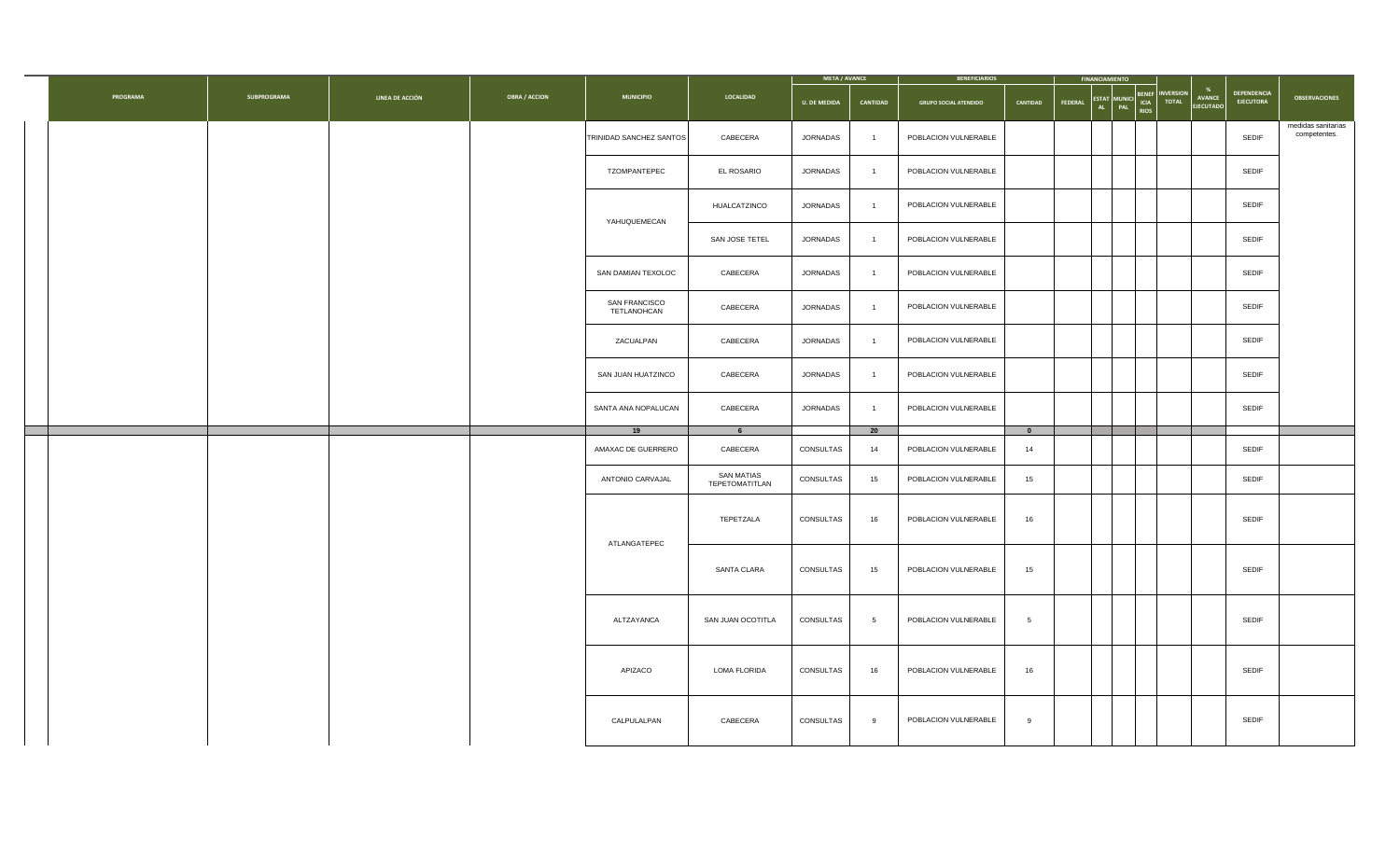|          |             |                 |                      |                              |                                     | META / AVANCE       |                 | <b>BENEFICIARIOS</b>         |                                | <b>FINANCIAMIENTO</b>             |                        |                                        |                                        |                                    |
|----------|-------------|-----------------|----------------------|------------------------------|-------------------------------------|---------------------|-----------------|------------------------------|--------------------------------|-----------------------------------|------------------------|----------------------------------------|----------------------------------------|------------------------------------|
| PROGRAMA | SUBPROGRAMA | LINEA DE ACCIÓN | <b>OBRA / ACCION</b> | <b>MUNICIPIO</b>             | LOCALIDAD                           | <b>U. DE MEDIDA</b> | CANTIDAD        | <b>GRUPO SOCIAL ATENDIDO</b> | CANTIDAD                       | ESTAT MUNICI CIA TOTAL<br>FEDERAL | <b>BENEF INVERSION</b> | %<br><b>AVANCE</b><br><b>EJECUTADO</b> | <b>DEPENDENCIA</b><br><b>EJECUTORA</b> | <b>OBSERVACIONES</b>               |
|          |             |                 |                      | TRINIDAD SANCHEZ SANTOS      | CABECERA                            | JORNADAS            | $\overline{1}$  | POBLACION VULNERABLE         |                                |                                   |                        |                                        | SEDIF                                  | medidas sanitarias<br>competentes. |
|          |             |                 |                      | TZOMPANTEPEC                 | EL ROSARIO                          | JORNADAS            | $\overline{1}$  | POBLACION VULNERABLE         |                                |                                   |                        |                                        | SEDIF                                  |                                    |
|          |             |                 |                      | YAHUQUEMECAN                 | HUALCATZINCO                        | JORNADAS            | $\overline{1}$  | POBLACION VULNERABLE         |                                |                                   |                        |                                        | SEDIF                                  |                                    |
|          |             |                 |                      |                              | SAN JOSE TETEL                      | JORNADAS            | $\overline{1}$  | POBLACION VULNERABLE         |                                |                                   |                        |                                        | SEDIF                                  |                                    |
|          |             |                 |                      | SAN DAMIAN TEXOLOC           | CABECERA                            | JORNADAS            | $\overline{1}$  | POBLACION VULNERABLE         |                                |                                   |                        |                                        | SEDIF                                  |                                    |
|          |             |                 |                      | SAN FRANCISCO<br>TETLANOHCAN | CABECERA                            | JORNADAS            | $\overline{1}$  | POBLACION VULNERABLE         |                                |                                   |                        |                                        | SEDIF                                  |                                    |
|          |             |                 |                      | ZACUALPAN                    | CABECERA                            | JORNADAS            | $\overline{1}$  | POBLACION VULNERABLE         |                                |                                   |                        |                                        | SEDIF                                  |                                    |
|          |             |                 |                      | SAN JUAN HUATZINCO           | CABECERA                            | JORNADAS            | $\overline{1}$  | POBLACION VULNERABLE         |                                |                                   |                        |                                        | SEDIF                                  |                                    |
|          |             |                 |                      | SANTA ANA NOPALUCAN          | CABECERA                            | JORNADAS            | $\overline{1}$  | POBLACION VULNERABLE         |                                |                                   |                        |                                        | <b>SEDIF</b>                           |                                    |
|          |             |                 |                      | 19<br>AMAXAC DE GUERRERO     | 6 <sup>1</sup><br>CABECERA          | CONSULTAS           | 20<br>14        | POBLACION VULNERABLE         | $\overline{\phantom{0}}$<br>14 |                                   |                        |                                        | SEDIF                                  |                                    |
|          |             |                 |                      | ANTONIO CARVAJAL             | <b>SAN MATIAS</b><br>TEPETOMATITLAN | CONSULTAS           | 15              | POBLACION VULNERABLE         | 15                             |                                   |                        |                                        | SEDIF                                  |                                    |
|          |             |                 |                      | ATLANGATEPEC                 | TEPETZALA                           | CONSULTAS           | 16              | POBLACION VULNERABLE         | 16                             |                                   |                        |                                        | SEDIF                                  |                                    |
|          |             |                 |                      |                              | SANTA CLARA                         | CONSULTAS           | 15              | POBLACION VULNERABLE         | 15                             |                                   |                        |                                        | SEDIF                                  |                                    |
|          |             |                 |                      | ALTZAYANCA                   | SAN JUAN OCOTITLA                   | CONSULTAS           | $5\overline{5}$ | POBLACION VULNERABLE         | $5\phantom{.0}$                |                                   |                        |                                        | SEDIF                                  |                                    |
|          |             |                 |                      | APIZACO                      | LOMA FLORIDA                        | CONSULTAS           | 16              | POBLACION VULNERABLE         | 16                             |                                   |                        |                                        | SEDIF                                  |                                    |
|          |             |                 |                      | CALPULALPAN                  | CABECERA                            | CONSULTAS           | 9               | POBLACION VULNERABLE         | 9                              |                                   |                        |                                        | SEDIF                                  |                                    |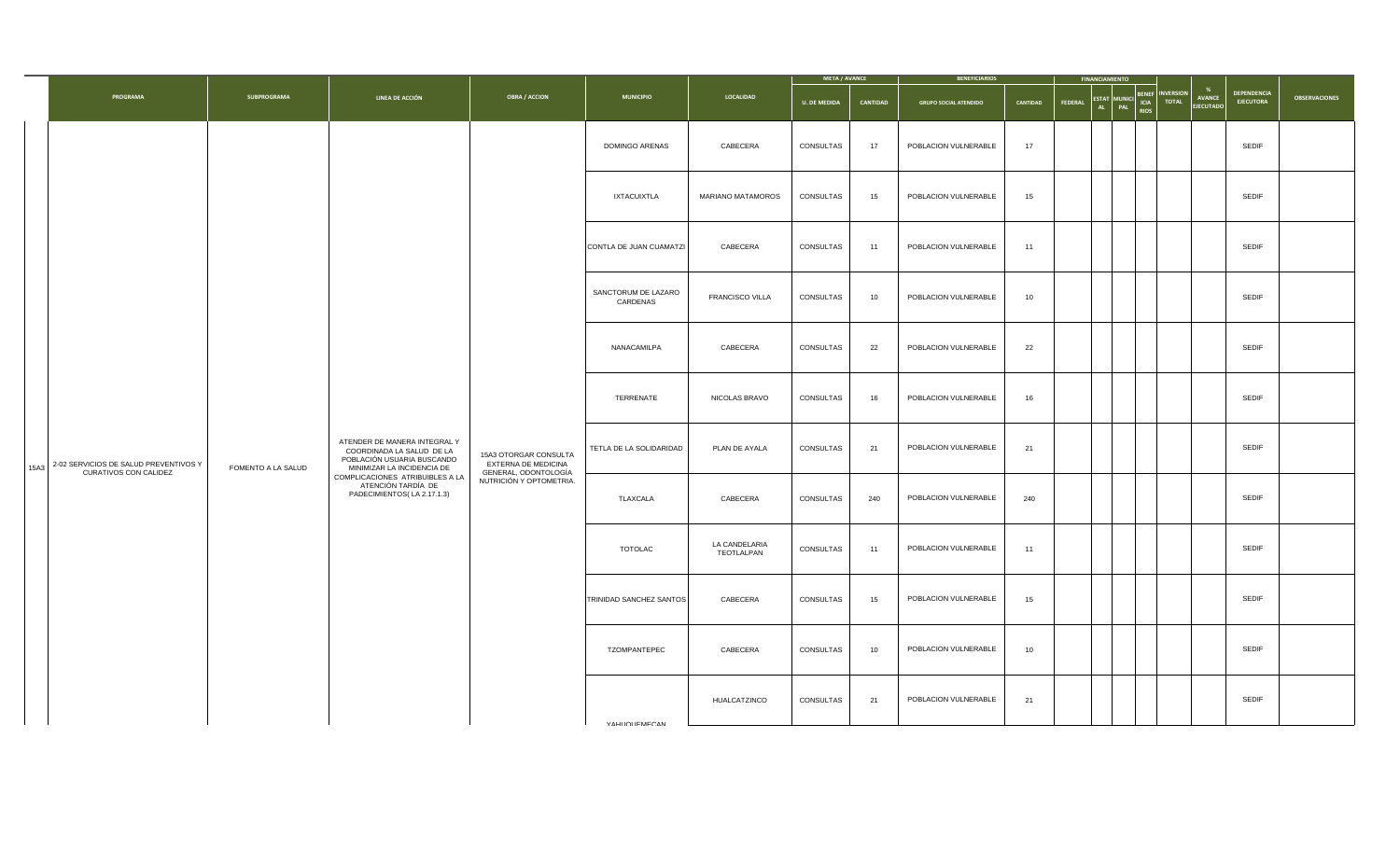|      |                                       |                    |                                                                                                                       |                                                 |                                                             |                             | <b>META / AVANCE</b> |                      | <b>BENEFICIARIOS</b>         |          | <b>FINANCIAMIENTO</b> |                                                                                                  |                                        |                      |
|------|---------------------------------------|--------------------|-----------------------------------------------------------------------------------------------------------------------|-------------------------------------------------|-------------------------------------------------------------|-----------------------------|----------------------|----------------------|------------------------------|----------|-----------------------|--------------------------------------------------------------------------------------------------|----------------------------------------|----------------------|
|      | PROGRAMA                              | SUBPROGRAMA        | LINEA DE ACCIÓN                                                                                                       | <b>OBRA / ACCION</b>                            | <b>MUNICIPIO</b>                                            | LOCALIDAD                   | <b>U. DE MEDIDA</b>  | CANTIDAD             | <b>GRUPO SOCIAL ATENDIDO</b> | CANTIDAD | FEDERAL               | %<br><b>INVERSION</b><br>ESTAT MUNICI BENEF<br><b>AVANCE</b><br><b>TOTAL</b><br><b>EJECUTADO</b> | <b>DEPENDENCIA</b><br><b>EJECUTORA</b> | <b>OBSERVACIONES</b> |
|      |                                       |                    |                                                                                                                       |                                                 | DOMINGO ARENAS                                              | CABECERA                    | CONSULTAS            | 17                   | POBLACION VULNERABLE         | 17       |                       |                                                                                                  | SEDIF                                  |                      |
|      |                                       |                    |                                                                                                                       |                                                 | <b>IXTACUIXTLA</b>                                          | MARIANO MATAMOROS           | CONSULTAS            | 15                   | POBLACION VULNERABLE         | 15       |                       |                                                                                                  | SEDIF                                  |                      |
|      |                                       |                    |                                                                                                                       |                                                 | CONTLA DE JUAN CUAMATZI                                     | CABECERA                    | CONSULTAS            | 11                   | POBLACION VULNERABLE         | 11       |                       |                                                                                                  | SEDIF                                  |                      |
|      |                                       |                    |                                                                                                                       |                                                 | SANCTORUM DE LAZARO<br>CARDENAS                             | <b>FRANCISCO VILLA</b>      | CONSULTAS            | 10                   | POBLACION VULNERABLE         | 10       |                       |                                                                                                  | SEDIF                                  |                      |
|      |                                       |                    |                                                                                                                       |                                                 | NANACAMILPA                                                 | CABECERA                    | CONSULTAS            | 22                   | POBLACION VULNERABLE         | 22       |                       |                                                                                                  | SEDIF                                  |                      |
|      |                                       |                    |                                                                                                                       |                                                 | TERRENATE                                                   | NICOLAS BRAVO               | CONSULTAS            | 16                   | POBLACION VULNERABLE         | 16       |                       |                                                                                                  | SEDIF                                  |                      |
| 15A3 | 2-02 SERVICIOS DE SALUD PREVENTIVOS Y | FOMENTO A LA SALUD | ATENDER DE MANERA INTEGRAL Y<br>COORDINADA LA SALUD DE LA<br>POBLACIÓN USUARIA BUSCANDO<br>MINIMIZAR LA INCIDENCIA DE | 15A3 OTORGAR CONSULTA<br>EXTERNA DE MEDICINA    | TETLA DE LA SOLIDARIDAD<br>PLAN DE AYALA<br>CONSULTAS<br>21 | POBLACION VULNERABLE        | 21                   |                      |                              | SEDIF    |                       |                                                                                                  |                                        |                      |
|      | CURATIVOS CON CALIDEZ                 |                    | COMPLICACIONES ATRIBUIBLES A LA<br>ATENCIÓN TARDÍA DE<br>PADECIMIENTOS(LA 2.17.1.3)                                   | GENERAL, ODONTOLOGÍA<br>NUTRICIÓN Y OPTOMETRIA. | TLAXCALA                                                    | CABECERA                    | CONSULTAS            | 240                  | POBLACION VULNERABLE         | 240      |                       |                                                                                                  | SEDIF                                  |                      |
|      |                                       |                    |                                                                                                                       |                                                 | <b>TOTOLAC</b>                                              | LA CANDELARIA<br>TEOTLALPAN | CONSULTAS            | 11                   | POBLACION VULNERABLE         | 11       |                       |                                                                                                  | SEDIF                                  |                      |
|      |                                       |                    |                                                                                                                       | TRINIDAD SANCHEZ SANTOS                         | CABECERA                                                    | CONSULTAS                   | 15                   | POBLACION VULNERABLE | 15                           |          |                       | SEDIF                                                                                            |                                        |                      |
|      |                                       |                    |                                                                                                                       |                                                 | TZOMPANTEPEC                                                | CABECERA                    | CONSULTAS            | 10                   | POBLACION VULNERABLE         | 10       |                       |                                                                                                  | SEDIF                                  |                      |
|      |                                       |                    |                                                                                                                       |                                                 |                                                             | HUALCATZINCO                | CONSULTAS            | 21                   | POBLACION VULNERABLE         | 21       |                       |                                                                                                  | SEDIF                                  |                      |
|      |                                       |                    |                                                                                                                       |                                                 | YAHI IOI IFMECAN                                            |                             |                      |                      |                              |          |                       |                                                                                                  |                                        |                      |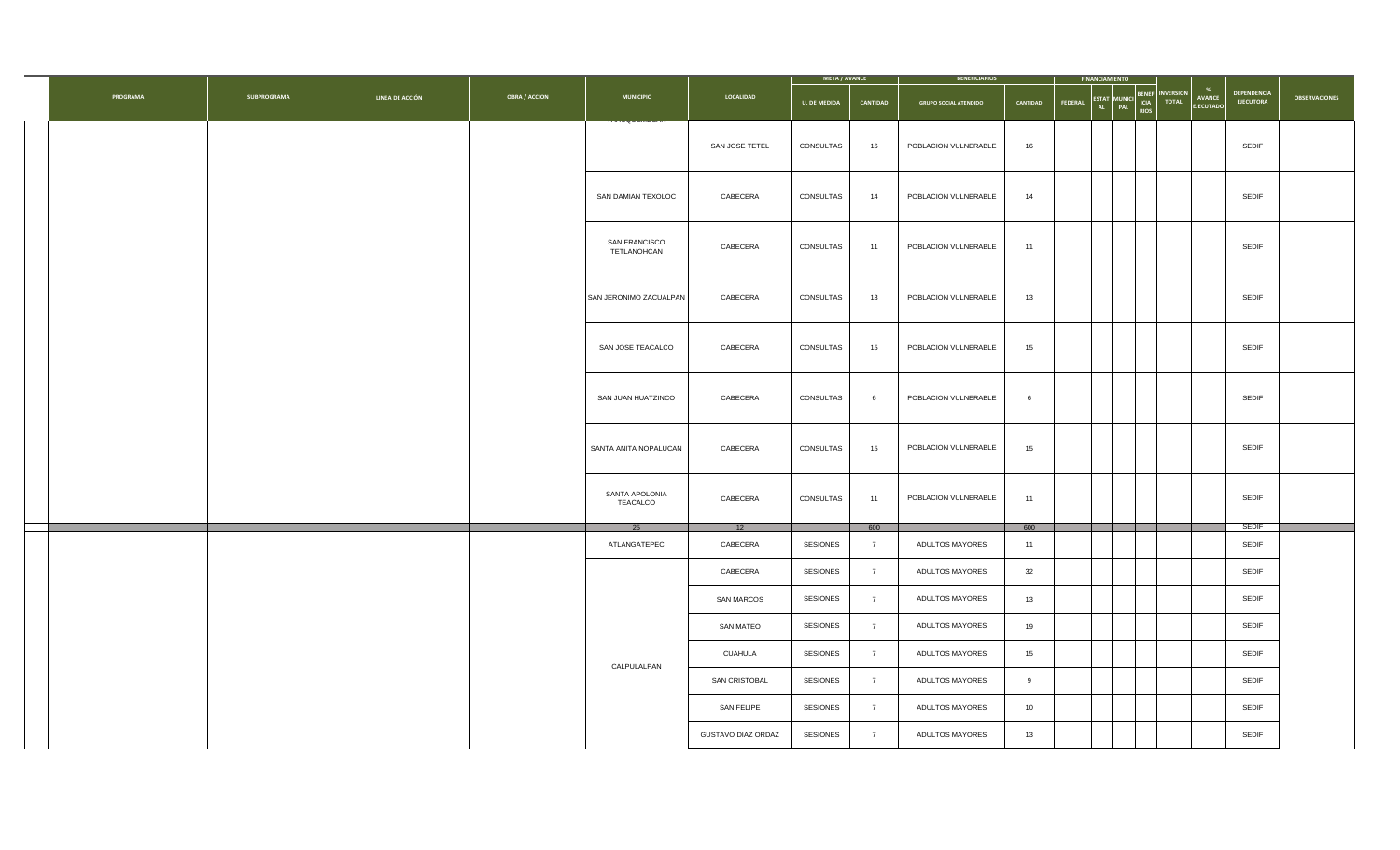|          |                    |                 |                      |                              |                      | META / AVANCE               |                                  | <b>BENEFICIARIOS</b>               |          | <b>FINANCIAMIENTO</b> |                                          |                 |                                 |                                 |                      |
|----------|--------------------|-----------------|----------------------|------------------------------|----------------------|-----------------------------|----------------------------------|------------------------------------|----------|-----------------------|------------------------------------------|-----------------|---------------------------------|---------------------------------|----------------------|
| PROGRAMA | <b>SUBPROGRAMA</b> | LINEA DE ACCIÓN | <b>OBRA / ACCION</b> | <b>MUNICIPIO</b>             | LOCALIDAD            | <b>U. DE MEDIDA</b>         | CANTIDAD                         | <b>GRUPO SOCIAL ATENDIDO</b>       | CANTIDAD | FEDERAL               | <b>BENEF</b><br>ESTAT MUNICI BENET TOTAL | <b>NVERSION</b> | %<br>AVANCE<br><b>EJECUTADO</b> | DEPENDENCIA<br><b>EJECUTORA</b> | <b>OBSERVACIONES</b> |
|          |                    |                 |                      |                              | SAN JOSE TETEL       | CONSULTAS                   | 16                               | POBLACION VULNERABLE               | 16       |                       |                                          |                 |                                 | SEDIF                           |                      |
|          |                    |                 |                      | SAN DAMIAN TEXOLOC           | CABECERA             | CONSULTAS                   | 14                               | POBLACION VULNERABLE               | 14       |                       |                                          |                 |                                 | SEDIF                           |                      |
|          |                    |                 |                      | SAN FRANCISCO<br>TETLANOHCAN | CABECERA             | CONSULTAS                   | 11                               | POBLACION VULNERABLE               | 11       |                       |                                          |                 |                                 | SEDIF                           |                      |
|          |                    |                 |                      | SAN JERONIMO ZACUALPAN       | CABECERA             | CONSULTAS                   | 13                               | POBLACION VULNERABLE               | 13       |                       |                                          |                 |                                 | SEDIF                           |                      |
|          |                    |                 |                      | SAN JOSE TEACALCO            | CABECERA             | CONSULTAS                   | 15                               | POBLACION VULNERABLE               | 15       |                       |                                          |                 |                                 | SEDIF                           |                      |
|          |                    |                 |                      | SAN JUAN HUATZINCO           | CABECERA             | CONSULTAS                   | 6                                | POBLACION VULNERABLE               | 6        |                       |                                          |                 |                                 | SEDIF                           |                      |
|          |                    |                 |                      | SANTA ANITA NOPALUCAN        | CABECERA             | CONSULTAS                   | 15                               | POBLACION VULNERABLE               | 15       |                       |                                          |                 |                                 | SEDIF                           |                      |
|          |                    |                 |                      | SANTA APOLONIA<br>TEACALCO   | CABECERA             | CONSULTAS                   | 11                               | POBLACION VULNERABLE               | 11       |                       |                                          |                 |                                 | SEDIF                           |                      |
|          |                    |                 |                      |                              | 12                   |                             | 600                              |                                    | 600      |                       |                                          |                 |                                 | <b>SEDIF</b>                    |                      |
|          |                    |                 |                      | ATLANGATEPEC                 | CABECERA<br>CABECERA | <b>SESIONES</b><br>SESIONES | $\overline{7}$<br>$\overline{7}$ | ADULTOS MAYORES<br>ADULTOS MAYORES | 11<br>32 |                       |                                          |                 |                                 | SEDIF<br>SEDIF                  |                      |
|          |                    |                 |                      |                              | SAN MARCOS           | <b>SESIONES</b>             | $\overline{7}$                   | ADULTOS MAYORES                    | 13       |                       |                                          |                 |                                 | SEDIF                           |                      |
|          |                    |                 |                      |                              | SAN MATEO            | <b>SESIONES</b>             | $\overline{7}$                   | ADULTOS MAYORES                    | 19       |                       |                                          |                 |                                 | SEDIF                           |                      |
|          |                    |                 |                      | CALPULALPAN                  | CUAHULA              | <b>SESIONES</b>             | $\overline{7}$                   | ADULTOS MAYORES                    | 15       |                       |                                          |                 |                                 | SEDIF                           |                      |
|          |                    |                 |                      |                              | SAN CRISTOBAL        | <b>SESIONES</b>             | $\overline{7}$                   | ADULTOS MAYORES                    | 9        |                       |                                          |                 |                                 | SEDIF                           |                      |
|          |                    |                 |                      |                              | <b>SAN FELIPE</b>    | <b>SESIONES</b>             | $\overline{7}$                   | ADULTOS MAYORES                    | 10       |                       |                                          |                 |                                 | SEDIF                           |                      |
|          |                    |                 |                      |                              | GUSTAVO DIAZ ORDAZ   | <b>SESIONES</b>             | $\overline{7}$                   | ADULTOS MAYORES                    | 13       |                       |                                          |                 |                                 | SEDIF                           |                      |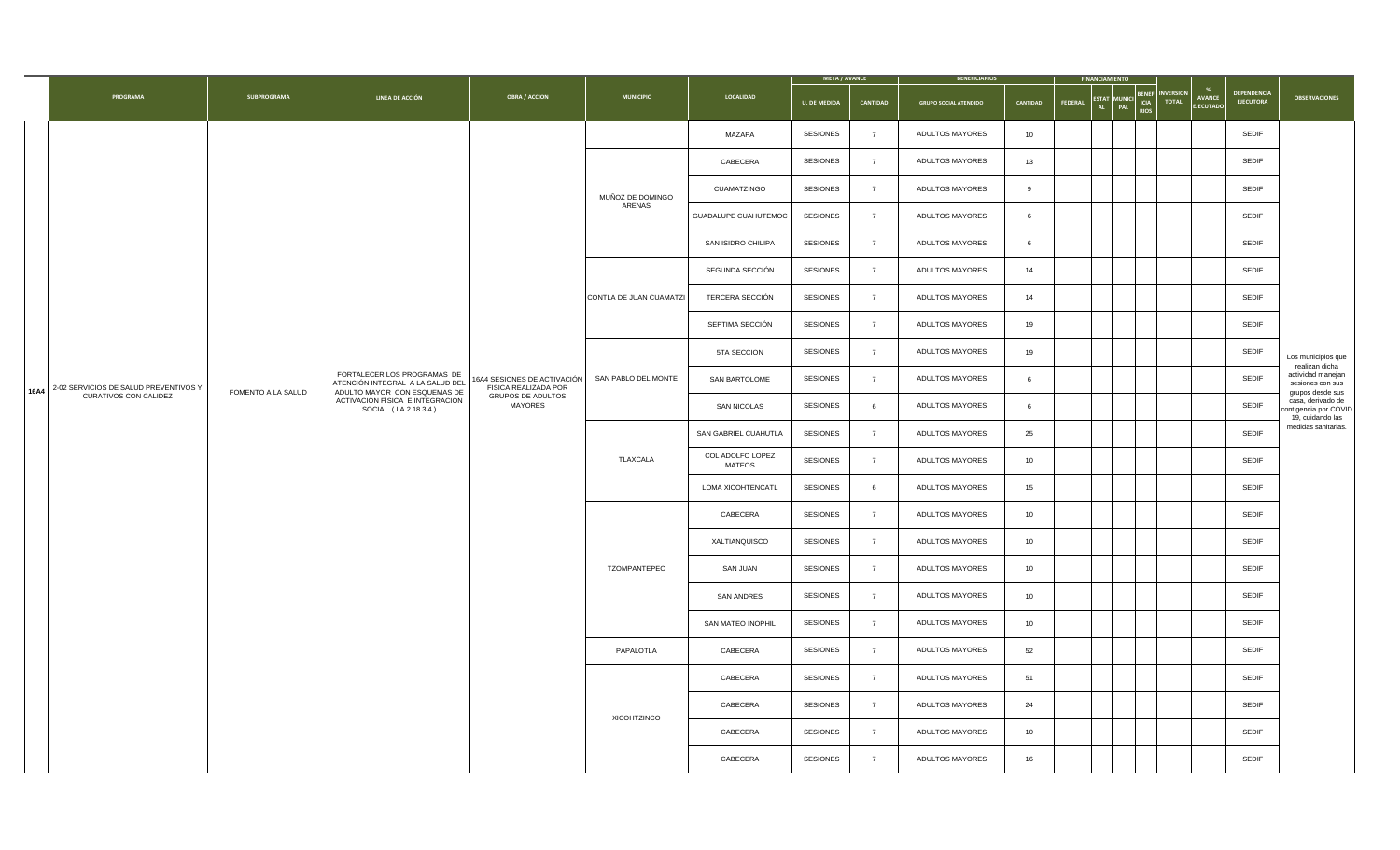|                                                                        |                    |                                                                                                 |                                                                                              |                         |                            |                     | META / AVANCE  | <b>BENEFICIARIOS</b>         |          | <b>FINANCIAMIENTO</b> |                                         |                                 |                            |                                        |                                                                |
|------------------------------------------------------------------------|--------------------|-------------------------------------------------------------------------------------------------|----------------------------------------------------------------------------------------------|-------------------------|----------------------------|---------------------|----------------|------------------------------|----------|-----------------------|-----------------------------------------|---------------------------------|----------------------------|----------------------------------------|----------------------------------------------------------------|
| PROGRAMA                                                               | SUBPROGRAMA        | LINEA DE ACCIÓN                                                                                 | <b>OBRA / ACCION</b>                                                                         | <b>MUNICIPIO</b>        | LOCALIDAD                  | <b>U. DE MEDIDA</b> | CANTIDAD       | <b>GRUPO SOCIAL ATENDIDO</b> | CANTIDAD | <b>FEDERAL</b>        | ESTAT MUNICI ICIA<br>PAL<br><b>RIOS</b> | <b>BENEF INVERSION</b><br>TOTAL | AVANCE<br><b>EJECUTADO</b> | <b>DEPENDENCIA</b><br><b>EJECUTORA</b> | <b>OBSERVACIONES</b>                                           |
|                                                                        |                    |                                                                                                 |                                                                                              |                         | MAZAPA                     | <b>SESIONES</b>     | $\overline{7}$ | ADULTOS MAYORES              | 10       |                       |                                         |                                 |                            | SEDIF                                  |                                                                |
|                                                                        |                    |                                                                                                 |                                                                                              |                         | CABECERA                   | <b>SESIONES</b>     | $\overline{7}$ | ADULTOS MAYORES              | 13       |                       |                                         |                                 |                            | <b>SEDIF</b>                           |                                                                |
|                                                                        |                    |                                                                                                 |                                                                                              | MUÑOZ DE DOMINGO        | CUAMATZINGO                | <b>SESIONES</b>     | $\overline{7}$ | ADULTOS MAYORES              | 9        |                       |                                         |                                 |                            | SEDIF                                  |                                                                |
|                                                                        |                    |                                                                                                 |                                                                                              | ARENAS                  | GUADALUPE CUAHUTEMOC       | <b>SESIONES</b>     | $\overline{7}$ | ADULTOS MAYORES              | 6        |                       |                                         |                                 |                            | SEDIF                                  |                                                                |
|                                                                        |                    |                                                                                                 |                                                                                              |                         | SAN ISIDRO CHILIPA         | SESIONES            | $\overline{7}$ | ADULTOS MAYORES              | 6        |                       |                                         |                                 |                            | SEDIF                                  |                                                                |
|                                                                        |                    |                                                                                                 |                                                                                              |                         | SEGUNDA SECCIÓN            | <b>SESIONES</b>     | $\overline{7}$ | ADULTOS MAYORES              | 14       |                       |                                         |                                 |                            | <b>SEDIF</b>                           |                                                                |
|                                                                        |                    |                                                                                                 |                                                                                              | CONTLA DE JUAN CUAMATZI | TERCERA SECCIÓN            | SESIONES            | $\overline{7}$ | ADULTOS MAYORES              | 14       |                       |                                         |                                 |                            | SEDIF                                  |                                                                |
|                                                                        |                    |                                                                                                 |                                                                                              |                         | SEPTIMA SECCIÓN            | <b>SESIONES</b>     | $\overline{7}$ | ADULTOS MAYORES              | 19       |                       |                                         |                                 |                            | SEDIF                                  |                                                                |
|                                                                        |                    |                                                                                                 |                                                                                              |                         | 5TA SECCION                | SESIONES            | $\overline{7}$ | ADULTOS MAYORES              | 19       |                       |                                         |                                 |                            | SEDIF                                  | Los municipios que<br>realizan dicha                           |
| 2-02 SERVICIOS DE SALUD PREVENTIVOS Y<br>16A4<br>CURATIVOS CON CALIDEZ | FOMENTO A LA SALUD | FORTALECER LOS PROGRAMAS DE<br>ATENCIÓN INTEGRAL A LA SALUD DEL<br>ADULTO MAYOR CON ESQUEMAS DE | 16A4 SESIONES DE ACTIVACIÓN SAN PABLO DEL MONTE<br>FISICA REALIZADA POR<br>GRUPOS DE ADULTOS |                         | SAN BARTOLOME              | <b>SESIONES</b>     | $\overline{7}$ | ADULTOS MAYORES              | 6        |                       |                                         |                                 |                            | SEDIF                                  | actividad manejan<br>sesiones con sus<br>grupos desde sus      |
|                                                                        |                    | ACTIVACIÓN FÍSICA E INTEGRACIÓN<br>SOCIAL (LA 2.18.3.4)                                         | MAYORES                                                                                      |                         | SAN NICOLAS                | SESIONES            | 6              | ADULTOS MAYORES              | 6        |                       |                                         |                                 |                            | SEDIF                                  | casa, derivado de<br>contigencia por COVID<br>19, cuidando las |
|                                                                        |                    |                                                                                                 |                                                                                              |                         | SAN GABRIEL CUAHUTLA       | <b>SESIONES</b>     | $\overline{7}$ | ADULTOS MAYORES              | 25       |                       |                                         |                                 |                            | SEDIF                                  | medidas sanitarias.                                            |
|                                                                        |                    |                                                                                                 |                                                                                              | TLAXCALA                | COL ADOLFO LOPEZ<br>MATEOS | <b>SESIONES</b>     | $\overline{7}$ | ADULTOS MAYORES              | 10       |                       |                                         |                                 |                            | <b>SEDIF</b>                           |                                                                |
|                                                                        |                    |                                                                                                 |                                                                                              |                         | LOMA XICOHTENCATL          | <b>SESIONES</b>     | 6              | ADULTOS MAYORES              | 15       |                       |                                         |                                 |                            | SEDIF                                  |                                                                |
|                                                                        |                    |                                                                                                 |                                                                                              |                         | CABECERA                   | SESIONES            | $\overline{7}$ | ADULTOS MAYORES              | 10       |                       |                                         |                                 |                            | <b>SEDIF</b>                           |                                                                |
|                                                                        |                    |                                                                                                 |                                                                                              |                         | XALTIANQUISCO              | SESIONES            | $\overline{7}$ | ADULTOS MAYORES              | 10       |                       |                                         |                                 |                            | <b>SEDIF</b>                           |                                                                |
|                                                                        |                    |                                                                                                 |                                                                                              | TZOMPANTEPEC            | SAN JUAN                   | <b>SESIONES</b>     | $\overline{7}$ | ADULTOS MAYORES              | 10       |                       |                                         |                                 |                            | <b>SEDIF</b>                           |                                                                |
|                                                                        |                    |                                                                                                 |                                                                                              |                         | SAN ANDRES                 | SESIONES            | $\overline{7}$ | ADULTOS MAYORES              | 10       |                       |                                         |                                 |                            | <b>SEDIF</b>                           |                                                                |
|                                                                        |                    |                                                                                                 |                                                                                              |                         | SAN MATEO INOPHIL          | <b>SESIONES</b>     | $\overline{7}$ | ADULTOS MAYORES              | 10       |                       |                                         |                                 |                            | <b>SEDIF</b>                           |                                                                |
|                                                                        |                    |                                                                                                 |                                                                                              | PAPALOTLA               | CABECERA                   | SESIONES            | $\overline{7}$ | ADULTOS MAYORES              | 52       |                       |                                         |                                 |                            | SEDIF                                  |                                                                |
|                                                                        |                    |                                                                                                 |                                                                                              |                         | CABECERA                   | <b>SESIONES</b>     | $\overline{7}$ | ADULTOS MAYORES              | 51       |                       |                                         |                                 |                            | SEDIF                                  |                                                                |
|                                                                        |                    |                                                                                                 |                                                                                              | XICOHTZINCO             | CABECERA                   | <b>SESIONES</b>     | $\overline{7}$ | ADULTOS MAYORES              | 24       |                       |                                         |                                 |                            | SEDIF                                  |                                                                |
|                                                                        |                    |                                                                                                 |                                                                                              |                         | CABECERA                   | SESIONES            | $\overline{7}$ | ADULTOS MAYORES              | 10       |                       |                                         |                                 |                            | SEDIF                                  |                                                                |
|                                                                        |                    |                                                                                                 |                                                                                              |                         | CABECERA                   | <b>SESIONES</b>     | $\overline{7}$ | ADULTOS MAYORES              | 16       |                       |                                         |                                 |                            | SEDIF                                  |                                                                |